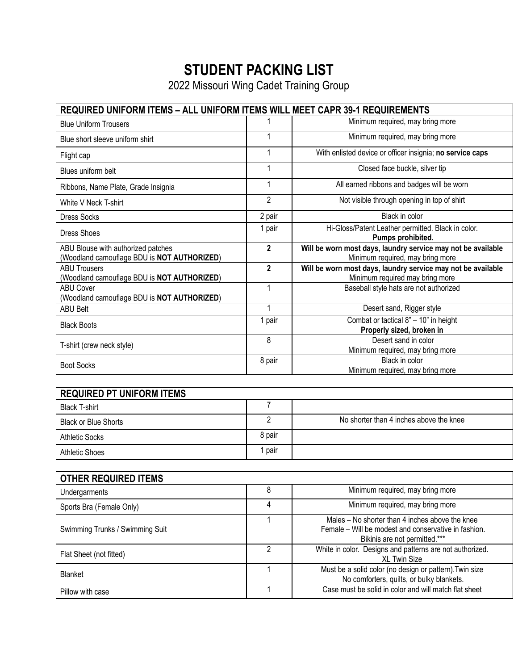## **STUDENT PACKING LIST**

2022 Missouri Wing Cadet Training Group

| <b>REQUIRED UNIFORM ITEMS - ALL UNIFORM ITEMS WILL MEET CAPR 39-1 REQUIREMENTS</b> |                |                                                                                                  |  |
|------------------------------------------------------------------------------------|----------------|--------------------------------------------------------------------------------------------------|--|
| <b>Blue Uniform Trousers</b>                                                       |                | Minimum required, may bring more                                                                 |  |
| Blue short sleeve uniform shirt                                                    |                | Minimum required, may bring more                                                                 |  |
| Flight cap                                                                         |                | With enlisted device or officer insignia; no service caps                                        |  |
| Blues uniform belt                                                                 |                | Closed face buckle, silver tip                                                                   |  |
| Ribbons, Name Plate, Grade Insignia                                                |                | All earned ribbons and badges will be worn                                                       |  |
| White V Neck T-shirt                                                               | $\overline{2}$ | Not visible through opening in top of shirt                                                      |  |
| <b>Dress Socks</b>                                                                 | 2 pair         | Black in color                                                                                   |  |
| Dress Shoes                                                                        | 1 pair         | Hi-Gloss/Patent Leather permitted. Black in color.<br>Pumps prohibited.                          |  |
| ABU Blouse with authorized patches<br>(Woodland camouflage BDU is NOT AUTHORIZED)  | $\mathbf{2}$   | Will be worn most days, laundry service may not be available<br>Minimum required, may bring more |  |
| <b>ABU Trousers</b><br>(Woodland camouflage BDU is NOT AUTHORIZED)                 | $\overline{2}$ | Will be worn most days, laundry service may not be available<br>Minimum required may bring more  |  |
| <b>ABU Cover</b><br>(Woodland camouflage BDU is NOT AUTHORIZED)                    | 1              | Baseball style hats are not authorized                                                           |  |
| <b>ABU Belt</b>                                                                    | 1              | Desert sand, Rigger style                                                                        |  |
| <b>Black Boots</b>                                                                 | 1 pair         | Combat or tactical 8" - 10" in height<br>Properly sized, broken in                               |  |
| T-shirt (crew neck style)                                                          | 8              | Desert sand in color<br>Minimum required, may bring more                                         |  |
| <b>Boot Socks</b>                                                                  | 8 pair         | Black in color<br>Minimum required, may bring more                                               |  |

| <b>REQUIRED PT UNIFORM ITEMS</b> |        |                                         |  |
|----------------------------------|--------|-----------------------------------------|--|
| <b>Black T-shirt</b>             |        |                                         |  |
| <b>Black or Blue Shorts</b>      |        | No shorter than 4 inches above the knee |  |
| <b>Athletic Socks</b>            | 8 pair |                                         |  |
| <b>Athletic Shoes</b>            | pair   |                                         |  |

| <b>OTHER REQUIRED ITEMS</b>     |   |                                                                                                                                          |
|---------------------------------|---|------------------------------------------------------------------------------------------------------------------------------------------|
| Undergarments                   |   | Minimum required, may bring more                                                                                                         |
| Sports Bra (Female Only)        | 4 | Minimum required, may bring more                                                                                                         |
| Swimming Trunks / Swimming Suit |   | Males – No shorter than 4 inches above the knee<br>Female – Will be modest and conservative in fashion.<br>Bikinis are not permitted.*** |
| Flat Sheet (not fitted)         | 2 | White in color. Designs and patterns are not authorized.<br>XL Twin Size                                                                 |
| <b>Blanket</b>                  |   | Must be a solid color (no design or pattern). Twin size<br>No comforters, quilts, or bulky blankets.                                     |
| Pillow with case                |   | Case must be solid in color and will match flat sheet                                                                                    |